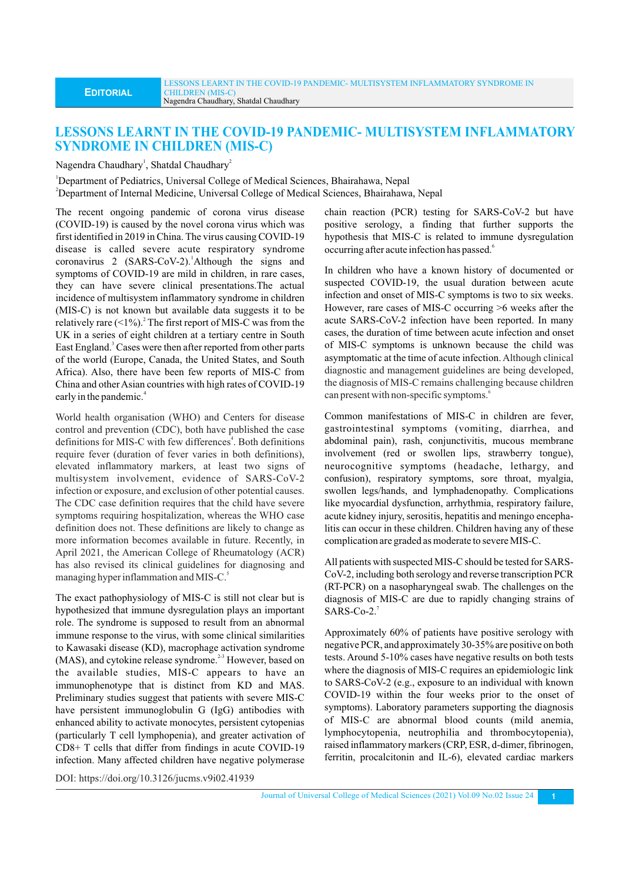## **LESSONS LEARNT IN THE COVID-19 PANDEMIC- MULTISYSTEM INFLAMMATORY SYNDROME IN CHILDREN (MIS-C)**

Nagendra Chaudhary<sup>1</sup>, Shatdal Chaudhary<sup>2</sup>

<sup>1</sup>Department of Pediatrics, Universal College of Medical Sciences, Bhairahawa, Nepal <sup>2</sup>Department of Internal Medicine, Universal College of Medical Sciences, Bhairahawa, Nepal

The recent ongoing pandemic of corona virus disease (COVID-19) is caused by the novel corona virus which was first identified in 2019 in China. The virus causing COVID-19 disease is called severe acute respiratory syndrome coronavirus 2 (SARS-CoV-2). Although the signs and symptoms of COVID-19 are mild in children, in rare cases, they can have severe clinical presentations.The actual incidence of multisystem inflammatory syndrome in children (MIS-C) is not known but available data suggests it to be relatively rare  $(<1%)$ . The first report of MIS-C was from the UK in a series of eight children at a tertiary centre in South East England.<sup>3</sup> Cases were then after reported from other parts of the world (Europe, Canada, the United States, and South Africa). Also, there have been few reports of MIS-C from China and other Asian countries with high rates of COVID-19 early in the pandemic.<sup>4</sup>

World health organisation (WHO) and Centers for disease control and prevention (CDC), both have published the case definitions for MIS-C with few differences<sup>4</sup>. Both definitions require fever (duration of fever varies in both definitions), elevated inflammatory markers, at least two signs of multisystem involvement, evidence of SARS-CoV-2 infection or exposure, and exclusion of other potential causes. The CDC case definition requires that the child have severe symptoms requiring hospitalization, whereas the WHO case definition does not. These definitions are likely to change as more information becomes available in future. Recently, in April 2021, the American College of Rheumatology (ACR) has also revised its clinical guidelines for diagnosing and managing hyper inflammation and MIS-C.<sup>5</sup>

The exact pathophysiology of MIS-C is still not clear but is hypothesized that immune dysregulation plays an important role. The syndrome is supposed to result from an abnormal immune response to the virus, with some clinical similarities to Kawasaki disease (KD), macrophage activation syndrome (MAS), and cytokine release syndrome.<sup>2-3</sup> However, based on the available studies, MIS-C appears to have an immunophenotype that is distinct from KD and MAS. Preliminary studies suggest that patients with severe MIS-C have persistent immunoglobulin G (IgG) antibodies with enhanced ability to activate monocytes, persistent cytopenias (particularly T cell lymphopenia), and greater activation of CD8+ T cells that differ from findings in acute COVID-19 infection. Many affected children have negative polymerase chain reaction (PCR) testing for SARS-CoV-2 but have positive serology, a finding that further supports the hypothesis that MIS-C is related to immune dysregulation occurring after acute infection has passed.

In children who have a known history of documented or suspected COVID-19, the usual duration between acute infection and onset of MIS-C symptoms is two to six weeks. However, rare cases of MIS-C occurring >6 weeks after the acute SARS-CoV-2 infection have been reported. In many cases, the duration of time between acute infection and onset of MIS-C symptoms is unknown because the child was asymptomatic at the time of acute infection. Although clinical diagnostic and management guidelines are being developed, the diagnosis of MIS-C remains challenging because children can present with non-specific symptoms.<sup>6</sup>

Common manifestations of MIS-C in children are fever, gastrointestinal symptoms (vomiting, diarrhea, and abdominal pain), rash, conjunctivitis, mucous membrane involvement (red or swollen lips, strawberry tongue), neurocognitive symptoms (headache, lethargy, and confusion), respiratory symptoms, sore throat, myalgia, swollen legs/hands, and lymphadenopathy. Complications like myocardial dysfunction, arrhythmia, respiratory failure, acute kidney injury, serositis, hepatitis and meningo encephalitis can occur in these children. Children having any of these complication are graded as moderate to severe MIS-C.

All patients with suspected MIS-C should be tested for SARS-CoV-2, including both serology and reverse transcription PCR (RT-PCR) on a nasopharyngeal swab. The challenges on the diagnosis of MIS-C are due to rapidly changing strains of  $SARS$ -Co-2.<sup>7</sup>

Approximately 60% of patients have positive serology with negative PCR, and approximately 30-35% are positive on both tests. Around 5-10% cases have negative results on both tests where the diagnosis of MIS-C requires an epidemiologic link to SARS-CoV-2 (e.g., exposure to an individual with known COVID-19 within the four weeks prior to the onset of symptoms). Laboratory parameters supporting the diagnosis of MIS-C are abnormal blood counts (mild anemia, lymphocytopenia, neutrophilia and thrombocytopenia), raised inflammatory markers (CRP, ESR, d-dimer, fibrinogen, ferritin, procalcitonin and IL-6), elevated cardiac markers

DOI: https://doi.org/10.3126/jucms.v9i02.41939